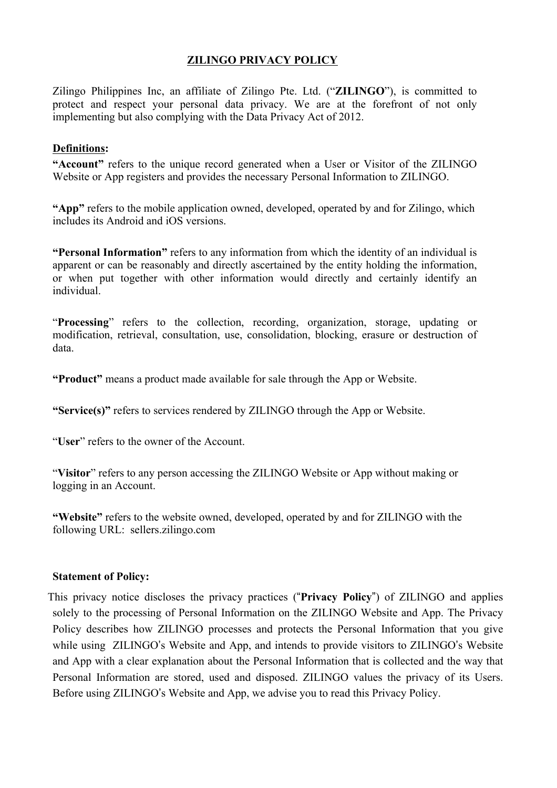# **ZILINGO PRIVACY POLICY**

Zilingo Philippines Inc, an affiliate of Zilingo Pte. Ltd. ("**ZILINGO**"), is committed to protect and respect your personal data privacy. We are at the forefront of not only implementing but also complying with the Data Privacy Act of 2012.

## **Definitions:**

"Account" refers to the unique record generated when a User or Visitor of the ZILINGO Website or App registers and provides the necessary Personal Information to ZILINGO.

**"App"** refers to the mobile application owned, developed, operated by and for Zilingo, which includes its Android and iOS versions.

**"Personal Information"** refers to any information from which the identity of an individual is apparent or can be reasonably and directly ascertained by the entity holding the information, or when put together with other information would directly and certainly identify an individual.

"**Processing**" refers to the collection, recording, organization, storage, updating or modification, retrieval, consultation, use, consolidation, blocking, erasure or destruction of data.

**"Product"** means a product made available for sale through the App or Website.

**"Service(s)"** refers to services rendered by ZILINGO through the App or Website.

"**User**" refers to the owner of the Account.

"**Visitor**" refers to any person accessing the ZILINGO Website or App without making or logging in an Account.

**"Website"** refers to the website owned, developed, operated by and for ZILINGO with the following URL: sellers.zilingo.com

### **Statement of Policy:**

This privacy notice discloses the privacy practices ("**Privacy Policy**") of ZILINGO and applies solely to the processing of Personal Information on the ZILINGO Website and App. The Privacy Policy describes how ZILINGO processes and protects the Personal Information that you give while using ZILINGO's Website and App, and intends to provide visitors to ZILINGO's Website and App with a clear explanation about the Personal Information that is collected and the way that Personal Information are stored, used and disposed. ZILINGO values the privacy of its Users. Before using ZILINGO's Website and App, we advise you to read this Privacy Policy.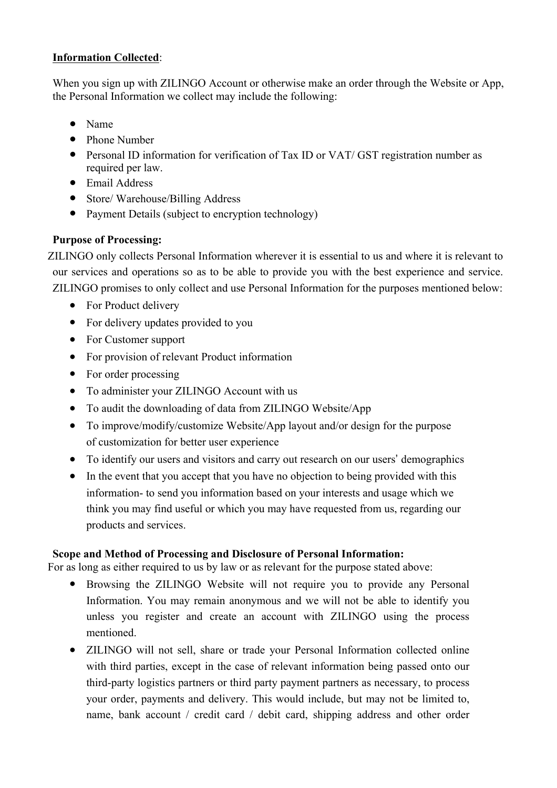# **Information Collected**:

When you sign up with ZILINGO Account or otherwise make an order through the Website or App, the Personal Information we collect may include the following:

- Name
- Phone Number
- Personal ID information for verification of Tax ID or VAT/ GST registration number as required per law.
- Email Address
- Store/Warehouse/Billing Address
- Payment Details (subject to encryption technology)

# **Purpose of Processing:**

ZILINGO only collects Personal Information wherever it is essential to us and where it is relevant to our services and operations so as to be able to provide you with the best experience and service. ZILINGO promises to only collect and use Personal Information for the purposes mentioned below:

- For Product delivery
- For delivery updates provided to you
- For Customer support
- For provision of relevant Product information
- For order processing
- To administer your ZILINGO Account with us
- To audit the downloading of data from ZILINGO Website/App
- To improve/modify/customize Website/App layout and/or design for the purpose of customization for better user experience
- To identify our users and visitors and carry out research on our users' demographics
- In the event that you accept that you have no objection to being provided with this information- to send you information based on your interests and usage which we think you may find useful or which you may have requested from us, regarding our products and services.

# **Scope and Method of Processing and Disclosure of Personal Information:**

For as long as either required to us by law or as relevant for the purpose stated above:

- Browsing the ZILINGO Website will not require you to provide any Personal Information. You may remain anonymous and we will not be able to identify you unless you register and create an account with ZILINGO using the process mentioned.
- ZILINGO will not sell, share or trade your Personal Information collected online with third parties, except in the case of relevant information being passed onto our third-party logistics partners or third party payment partners as necessary, to process your order, payments and delivery. This would include, but may not be limited to, name, bank account / credit card / debit card, shipping address and other order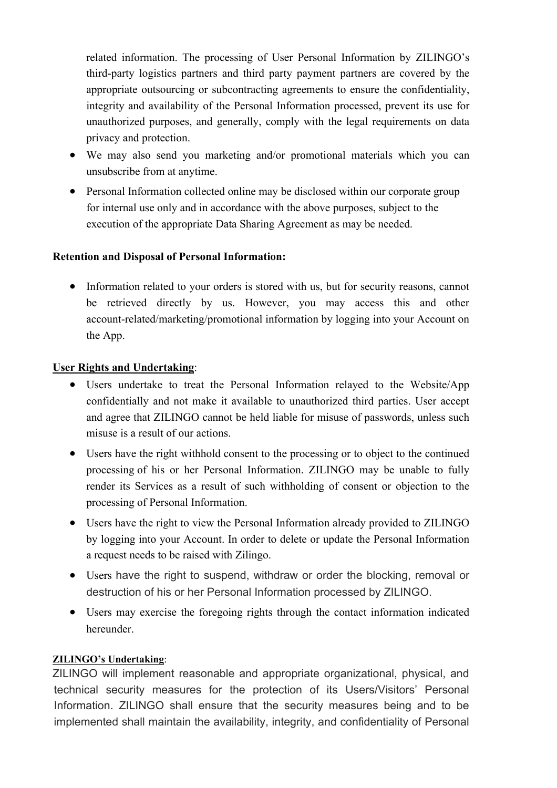related information. The processing of User Personal Information by ZILINGO's third-party logistics partners and third party payment partners are covered by the appropriate outsourcing or subcontracting agreements to ensure the confidentiality, integrity and availability of the Personal Information processed, prevent its use for unauthorized purposes, and generally, comply with the legal requirements on data privacy and protection.

- We may also send you marketing and/or promotional materials which you can unsubscribe from at anytime.
- Personal Information collected online may be disclosed within our corporate group for internal use only and in accordance with the above purposes, subject to the execution of the appropriate Data Sharing Agreement as may be needed.

## **Retention and Disposal of Personal Information:**

• Information related to your orders is stored with us, but for security reasons, cannot be retrieved directly by us. However, you may access this and other account-related/marketing/promotional information by logging into your Account on the App.

## **User Rights and Undertaking**:

- Users undertake to treat the Personal Information relayed to the Website/App confidentially and not make it available to unauthorized third parties. User accept and agree that ZILINGO cannot be held liable for misuse of passwords, unless such misuse is a result of our actions.
- Users have the right withhold consent to the processing or to object to the continued processing of his or her Personal Information. ZILINGO may be unable to fully render its Services as a result of such withholding of consent or objection to the processing of Personal Information.
- Users have the right to view the Personal Information already provided to ZILINGO by logging into your Account. In order to delete or update the Personal Information a request needs to be raised with Zilingo.
- Users have the right to suspend, withdraw or order the blocking, removal or destruction of his or her Personal Information processed by ZILINGO.
- Users may exercise the foregoing rights through the contact information indicated hereunder.

### **ZILINGO's Undertaking**:

ZILINGO will implement reasonable and appropriate organizational, physical, and technical security measures for the protection of its Users/Visitors' Personal Information. ZILINGO shall ensure that the security measures being and to be implemented shall maintain the availability, integrity, and confidentiality of Personal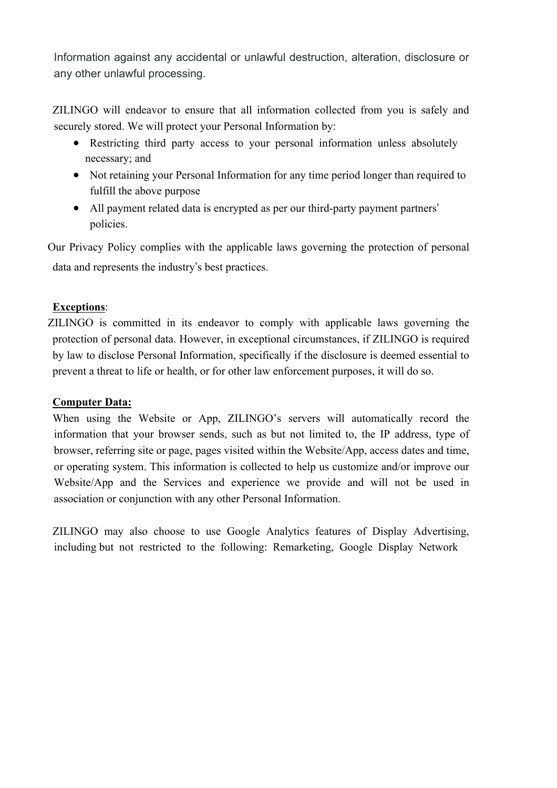Information against any accidental or unlawful destruction, alteration, disclosure or any other unlawful processing.

ZILINGO will endeavor to ensure that all information collected from you is safely and securely stored. We will protect your Personal Information by:

- Restricting third party access to your personal information unless absolutely necessary; and
- Not retaining your Personal Information for any time period longer than required to fulfill the above purpose
- All payment related data is encrypted as per our third-party payment partners' policies.

Our Privacy Policy complies with the applicable laws governing the protection of personal data and represents the industry's best practices.

# **Exceptions**:

ZILINGO is committed in its endeavor to comply with applicable laws governing the protection of personal data. However, in exceptional circumstances, if ZILINGO is required by law to disclose Personal Information, specifically if the disclosure is deemed essential to prevent a threat to life or health, or for other law enforcement purposes, it will do so.

## **Computer Data:**

When using the Website or App, ZILINGO's servers will automatically record the information that your browser sends, such as but not limited to, the IP address, type of browser, referring site or page, pages visited within the Website/App, access dates and time, or operating system. This information is collected to help us customize and/or improve our Website/App and the Services and experience we provide and will not be used in association or conjunction with any other Personal Information.

ZILINGO may also choose to use Google Analytics features of Display Advertising, including but not restricted to the following: Remarketing, Google Display Network